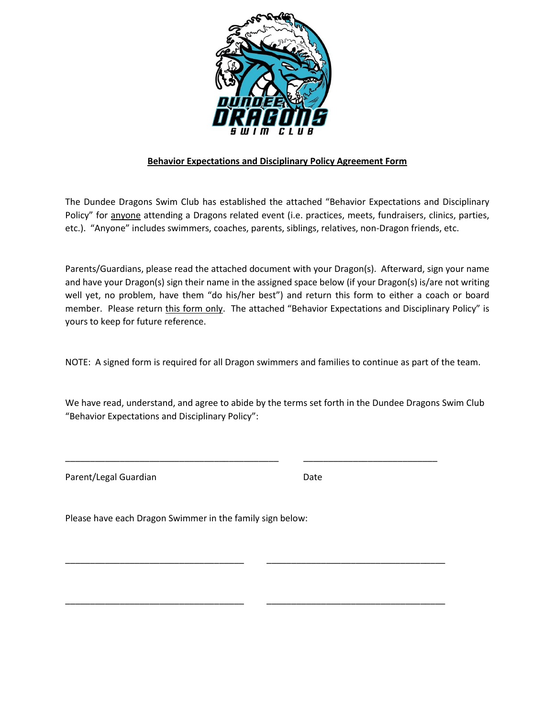

## **Behavior Expectations and Disciplinary Policy Agreement Form**

The Dundee Dragons Swim Club has established the attached "Behavior Expectations and Disciplinary Policy" for anyone attending a Dragons related event (i.e. practices, meets, fundraisers, clinics, parties, etc.). "Anyone" includes swimmers, coaches, parents, siblings, relatives, non-Dragon friends, etc.

Parents/Guardians, please read the attached document with your Dragon(s). Afterward, sign your name and have your Dragon(s) sign their name in the assigned space below (if your Dragon(s) is/are not writing well yet, no problem, have them "do his/her best") and return this form to either a coach or board member. Please return this form only. The attached "Behavior Expectations and Disciplinary Policy" is yours to keep for future reference.

NOTE: A signed form is required for all Dragon swimmers and families to continue as part of the team.

We have read, understand, and agree to abide by the terms set forth in the Dundee Dragons Swim Club "Behavior Expectations and Disciplinary Policy":

\_\_\_\_\_\_\_\_\_\_\_\_\_\_\_\_\_\_\_\_\_\_\_\_\_\_\_\_\_\_\_\_\_\_\_\_\_\_\_\_\_\_\_ \_\_\_\_\_\_\_\_\_\_\_\_\_\_\_\_\_\_\_\_\_\_\_\_\_\_\_

\_\_\_\_\_\_\_\_\_\_\_\_\_\_\_\_\_\_\_\_\_\_\_\_\_\_\_\_\_\_\_\_\_\_\_\_ \_\_\_\_\_\_\_\_\_\_\_\_\_\_\_\_\_\_\_\_\_\_\_\_\_\_\_\_\_\_\_\_\_\_\_\_

\_\_\_\_\_\_\_\_\_\_\_\_\_\_\_\_\_\_\_\_\_\_\_\_\_\_\_\_\_\_\_\_\_\_\_\_ \_\_\_\_\_\_\_\_\_\_\_\_\_\_\_\_\_\_\_\_\_\_\_\_\_\_\_\_\_\_\_\_\_\_\_\_

Parent/Legal Guardian Date

Please have each Dragon Swimmer in the family sign below: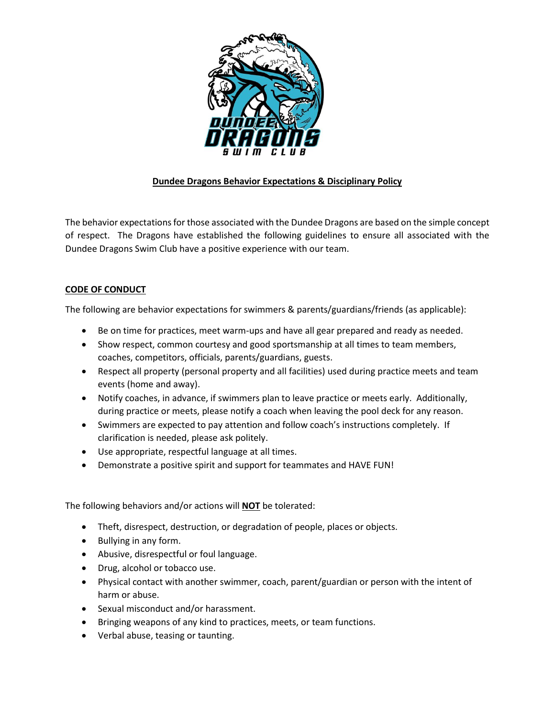

## **Dundee Dragons Behavior Expectations & Disciplinary Policy**

The behavior expectations for those associated with the Dundee Dragons are based on the simple concept of respect. The Dragons have established the following guidelines to ensure all associated with the Dundee Dragons Swim Club have a positive experience with our team.

## **CODE OF CONDUCT**

The following are behavior expectations for swimmers & parents/guardians/friends (as applicable):

- Be on time for practices, meet warm-ups and have all gear prepared and ready as needed.
- Show respect, common courtesy and good sportsmanship at all times to team members, coaches, competitors, officials, parents/guardians, guests.
- Respect all property (personal property and all facilities) used during practice meets and team events (home and away).
- Notify coaches, in advance, if swimmers plan to leave practice or meets early. Additionally, during practice or meets, please notify a coach when leaving the pool deck for any reason.
- Swimmers are expected to pay attention and follow coach's instructions completely. If clarification is needed, please ask politely.
- Use appropriate, respectful language at all times.
- Demonstrate a positive spirit and support for teammates and HAVE FUN!

The following behaviors and/or actions will **NOT** be tolerated:

- Theft, disrespect, destruction, or degradation of people, places or objects.
- Bullying in any form.
- Abusive, disrespectful or foul language.
- Drug, alcohol or tobacco use.
- Physical contact with another swimmer, coach, parent/guardian or person with the intent of harm or abuse.
- Sexual misconduct and/or harassment.
- Bringing weapons of any kind to practices, meets, or team functions.
- Verbal abuse, teasing or taunting.